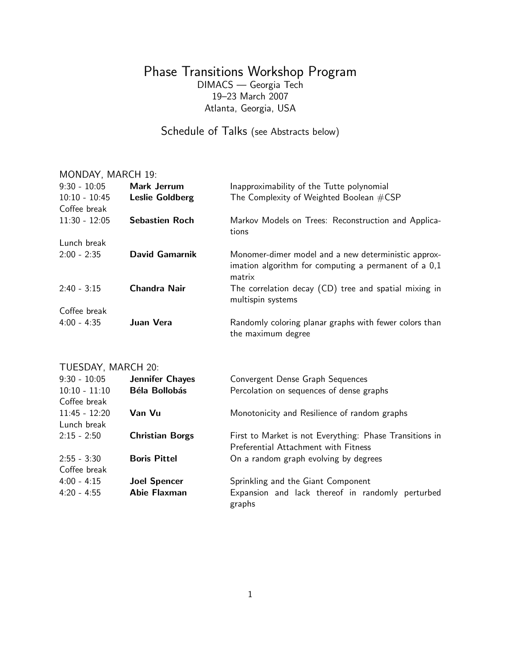## Phase Transitions Workshop Program DIMACS — Georgia Tech 19–23 March 2007 Atlanta, Georgia, USA

# Schedule of Talks (see Abstracts below)

## MONDAY, MARCH 19:

| $9:30 - 10:05$  | Mark Jerrum            | Inapproximability of the Tutte polynomial                                                                             |
|-----------------|------------------------|-----------------------------------------------------------------------------------------------------------------------|
| $10:10 - 10:45$ | <b>Leslie Goldberg</b> | The Complexity of Weighted Boolean #CSP                                                                               |
| Coffee break    |                        |                                                                                                                       |
| $11:30 - 12:05$ | <b>Sebastien Roch</b>  | Markov Models on Trees: Reconstruction and Applica-<br>tions                                                          |
| Lunch break     |                        |                                                                                                                       |
| $2:00 - 2:35$   | David Gamarnik         | Monomer-dimer model and a new deterministic approx-<br>imation algorithm for computing a permanent of a 0,1<br>matrix |
| $2:40 - 3:15$   | <b>Chandra Nair</b>    | The correlation decay (CD) tree and spatial mixing in<br>multispin systems                                            |
| Coffee break    |                        |                                                                                                                       |
| $4:00 - 4:35$   | Juan Vera              | Randomly coloring planar graphs with fewer colors than<br>the maximum degree                                          |

## TUESDAY, MARCH 20:

| $9:30 - 10:05$  | <b>Jennifer Chayes</b> | Convergent Dense Graph Sequences                        |
|-----------------|------------------------|---------------------------------------------------------|
| $10:10 - 11:10$ | <b>Béla Bollobás</b>   | Percolation on sequences of dense graphs                |
| Coffee break    |                        |                                                         |
| $11:45 - 12:20$ | Van Vu                 | Monotonicity and Resilience of random graphs            |
| Lunch break     |                        |                                                         |
| $2:15 - 2:50$   | <b>Christian Borgs</b> | First to Market is not Everything: Phase Transitions in |
|                 |                        | Preferential Attachment with Fitness                    |
| $2:55 - 3:30$   | <b>Boris Pittel</b>    | On a random graph evolving by degrees                   |
| Coffee break    |                        |                                                         |
| $4:00 - 4:15$   | <b>Joel Spencer</b>    | Sprinkling and the Giant Component                      |
| $4:20 - 4:55$   | Abie Flaxman           | Expansion and lack thereof in randomly perturbed        |
|                 |                        | graphs                                                  |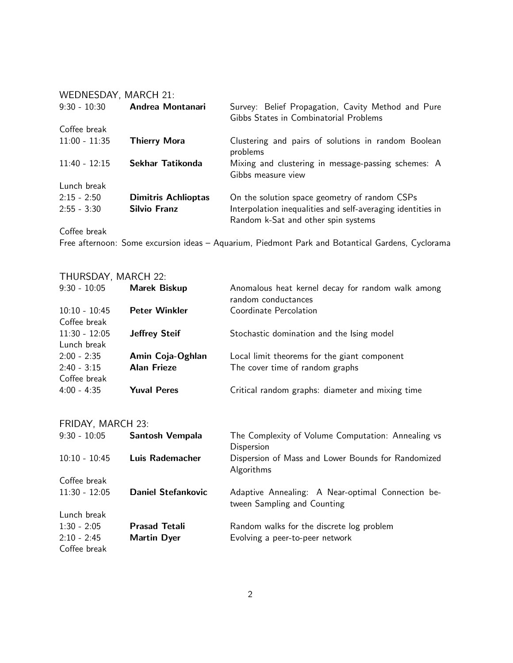| WEDNESDAY, MARCH 21: |                            |                                                                           |
|----------------------|----------------------------|---------------------------------------------------------------------------|
| $9:30 - 10:30$       | Andrea Montanari           | Survey: Belief Propagation, Cavity Method and Pure                        |
|                      |                            | Gibbs States in Combinatorial Problems                                    |
| Coffee break         |                            |                                                                           |
| $11:00 - 11:35$      | <b>Thierry Mora</b>        | Clustering and pairs of solutions in random Boolean<br>problems           |
| $11:40 - 12:15$      | Sekhar Tatikonda           | Mixing and clustering in message-passing schemes: A<br>Gibbs measure view |
| Lunch break          |                            |                                                                           |
| $2:15 - 2:50$        | <b>Dimitris Achlioptas</b> | On the solution space geometry of random CSPs                             |
| $2:55 - 3:30$        | <b>Silvio Franz</b>        | Interpolation inequalities and self-averaging identities in               |
|                      |                            | Random k-Sat and other spin systems                                       |

Coffee break

Free afternoon: Some excursion ideas – Aquarium, Piedmont Park and Botantical Gardens, Cyclorama

## THURSDAY, MARCH 22:

| $9:30 - 10:05$  | <b>Marek Biskup</b>  | Anomalous heat kernel decay for random walk among<br>random conductances |
|-----------------|----------------------|--------------------------------------------------------------------------|
| $10:10 - 10:45$ | <b>Peter Winkler</b> | Coordinate Percolation                                                   |
| Coffee break    |                      |                                                                          |
| $11:30 - 12:05$ | <b>Jeffrey Steif</b> | Stochastic domination and the Ising model                                |
| Lunch break     |                      |                                                                          |
| $2:00 - 2:35$   | Amin Coja-Oghlan     | Local limit theorems for the giant component                             |
| $2:40 - 3:15$   | <b>Alan Frieze</b>   | The cover time of random graphs                                          |
| Coffee break    |                      |                                                                          |
| $4:00 - 4:35$   | <b>Yuval Peres</b>   | Critical random graphs: diameter and mixing time                         |

## FRIDAY, MARCH 23:

| $9:30 - 10:05$  | Santosh Vempala           | The Complexity of Volume Computation: Annealing vs                               |
|-----------------|---------------------------|----------------------------------------------------------------------------------|
|                 |                           | Dispersion                                                                       |
| $10:10 - 10:45$ | Luis Rademacher           | Dispersion of Mass and Lower Bounds for Randomized<br>Algorithms                 |
| Coffee break    |                           |                                                                                  |
| $11:30 - 12:05$ | <b>Daniel Stefankovic</b> | Adaptive Annealing: A Near-optimal Connection be-<br>tween Sampling and Counting |
| Lunch break     |                           |                                                                                  |
| $1:30 - 2:05$   | <b>Prasad Tetali</b>      | Random walks for the discrete log problem                                        |
| $2:10 - 2:45$   | <b>Martin Dyer</b>        | Evolving a peer-to-peer network                                                  |
| Coffee break    |                           |                                                                                  |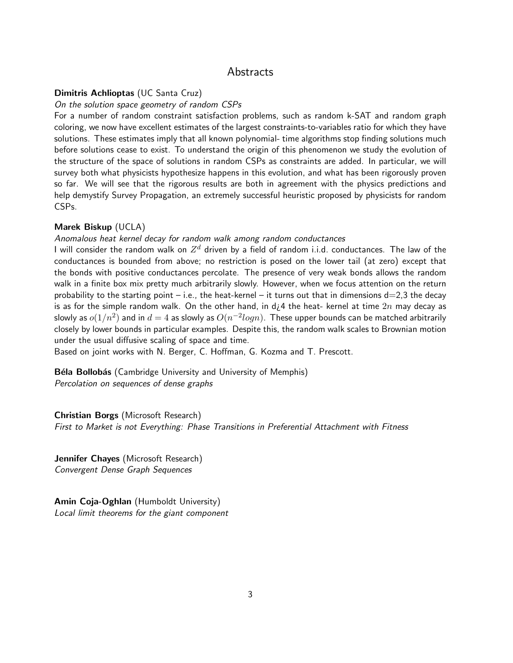## Abstracts

## Dimitris Achlioptas (UC Santa Cruz)

#### On the solution space geometry of random CSPs

For a number of random constraint satisfaction problems, such as random k-SAT and random graph coloring, we now have excellent estimates of the largest constraints-to-variables ratio for which they have solutions. These estimates imply that all known polynomial- time algorithms stop finding solutions much before solutions cease to exist. To understand the origin of this phenomenon we study the evolution of the structure of the space of solutions in random CSPs as constraints are added. In particular, we will survey both what physicists hypothesize happens in this evolution, and what has been rigorously proven so far. We will see that the rigorous results are both in agreement with the physics predictions and help demystify Survey Propagation, an extremely successful heuristic proposed by physicists for random CSPs.

## Marek Biskup (UCLA)

## Anomalous heat kernel decay for random walk among random conductances

I will consider the random walk on  $Z^d$  driven by a field of random i.i.d. conductances. The law of the conductances is bounded from above; no restriction is posed on the lower tail (at zero) except that the bonds with positive conductances percolate. The presence of very weak bonds allows the random walk in a finite box mix pretty much arbitrarily slowly. However, when we focus attention on the return probability to the starting point – i.e., the heat-kernel – it turns out that in dimensions  $d=2,3$  the decay is as for the simple random walk. On the other hand, in d<sub>L</sub>4 the heat- kernel at time  $2n$  may decay as slowly as  $o(1/n^2)$  and in  $d=4$  as slowly as  $O(n^{-2}log n).$  These upper bounds can be matched arbitrarily closely by lower bounds in particular examples. Despite this, the random walk scales to Brownian motion under the usual diffusive scaling of space and time.

Based on joint works with N. Berger, C. Hoffman, G. Kozma and T. Prescott.

Béla Bollobás (Cambridge University and University of Memphis) Percolation on sequences of dense graphs

Christian Borgs (Microsoft Research) First to Market is not Everything: Phase Transitions in Preferential Attachment with Fitness

Jennifer Chayes (Microsoft Research) Convergent Dense Graph Sequences

Amin Coja-Oghlan (Humboldt University) Local limit theorems for the giant component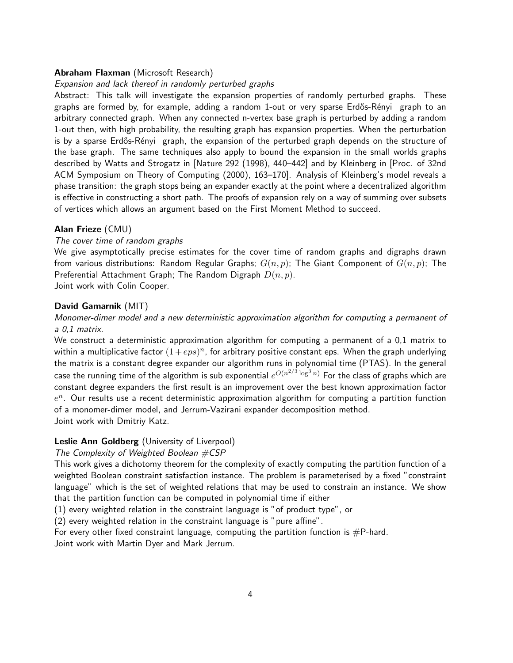## Abraham Flaxman (Microsoft Research)

## Expansion and lack thereof in randomly perturbed graphs

Abstract: This talk will investigate the expansion properties of randomly perturbed graphs. These graphs are formed by, for example, adding a random 1-out or very sparse Erdős-Rényi graph to an arbitrary connected graph. When any connected n-vertex base graph is perturbed by adding a random 1-out then, with high probability, the resulting graph has expansion properties. When the perturbation is by a sparse Erdős-Rényi graph, the expansion of the perturbed graph depends on the structure of the base graph. The same techniques also apply to bound the expansion in the small worlds graphs described by Watts and Strogatz in [Nature 292 (1998), 440–442] and by Kleinberg in [Proc. of 32nd ACM Symposium on Theory of Computing (2000), 163–170]. Analysis of Kleinberg's model reveals a phase transition: the graph stops being an expander exactly at the point where a decentralized algorithm is effective in constructing a short path. The proofs of expansion rely on a way of summing over subsets of vertices which allows an argument based on the First Moment Method to succeed.

## Alan Frieze (CMU)

## The cover time of random graphs

We give asymptotically precise estimates for the cover time of random graphs and digraphs drawn from various distributions: Random Regular Graphs;  $G(n, p)$ ; The Giant Component of  $G(n, p)$ ; The Preferential Attachment Graph; The Random Digraph  $D(n, p)$ .

Joint work with Colin Cooper.

#### David Gamarnik (MIT)

## Monomer-dimer model and a new deterministic approximation algorithm for computing a permanent of a 0,1 matrix.

We construct a deterministic approximation algorithm for computing a permanent of a 0,1 matrix to within a multiplicative factor  $(1+eps)^n$ , for arbitrary positive constant eps. When the graph underlying the matrix is a constant degree expander our algorithm runs in polynomial time (PTAS). In the general case the running time of the algorithm is sub exponential  $e^{O(n^{2/3}\log^3 n)}$  For the class of graphs which are constant degree expanders the first result is an improvement over the best known approximation factor  $e^{n}$ . Our results use a recent deterministic approximation algorithm for computing a partition function of a monomer-dimer model, and Jerrum-Vazirani expander decomposition method. Joint work with Dmitriy Katz.

### Leslie Ann Goldberg (University of Liverpool)

#### The Complexity of Weighted Boolean  $\#CSP$

This work gives a dichotomy theorem for the complexity of exactly computing the partition function of a weighted Boolean constraint satisfaction instance. The problem is parameterised by a fixed "constraint language" which is the set of weighted relations that may be used to constrain an instance. We show that the partition function can be computed in polynomial time if either

(1) every weighted relation in the constraint language is "of product type", or

(2) every weighted relation in the constraint language is "pure affine".

For every other fixed constraint language, computing the partition function is  $#P$ -hard.

Joint work with Martin Dyer and Mark Jerrum.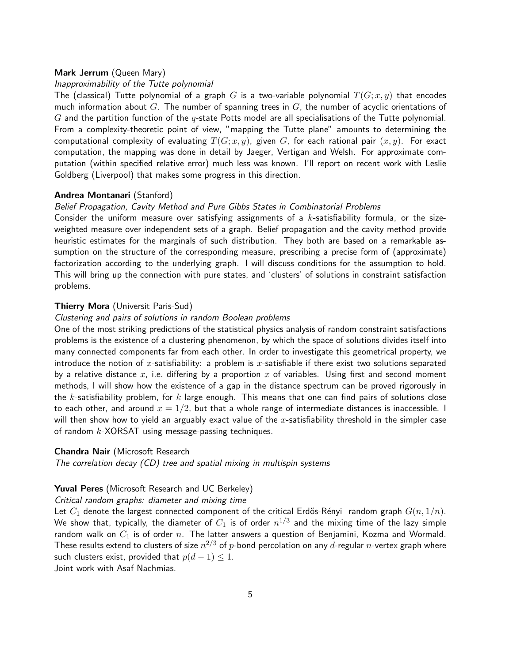## Mark Jerrum (Queen Mary)

## Inapproximability of the Tutte polynomial

The (classical) Tutte polynomial of a graph  $G$  is a two-variable polynomial  $T(G; x, y)$  that encodes much information about G. The number of spanning trees in G, the number of acyclic orientations of  $G$  and the partition function of the  $q$ -state Potts model are all specialisations of the Tutte polynomial. From a complexity-theoretic point of view, "mapping the Tutte plane" amounts to determining the computational complexity of evaluating  $T(G; x, y)$ , given G, for each rational pair  $(x, y)$ . For exact computation, the mapping was done in detail by Jaeger, Vertigan and Welsh. For approximate computation (within specified relative error) much less was known. I'll report on recent work with Leslie Goldberg (Liverpool) that makes some progress in this direction.

## Andrea Montanari (Stanford)

## Belief Propagation, Cavity Method and Pure Gibbs States in Combinatorial Problems

Consider the uniform measure over satisfying assignments of a  $k$ -satisfiability formula, or the sizeweighted measure over independent sets of a graph. Belief propagation and the cavity method provide heuristic estimates for the marginals of such distribution. They both are based on a remarkable assumption on the structure of the corresponding measure, prescribing a precise form of (approximate) factorization according to the underlying graph. I will discuss conditions for the assumption to hold. This will bring up the connection with pure states, and 'clusters' of solutions in constraint satisfaction problems.

#### Thierry Mora (Universit Paris-Sud)

## Clustering and pairs of solutions in random Boolean problems

One of the most striking predictions of the statistical physics analysis of random constraint satisfactions problems is the existence of a clustering phenomenon, by which the space of solutions divides itself into many connected components far from each other. In order to investigate this geometrical property, we introduce the notion of x-satisfiability: a problem is x-satisfiable if there exist two solutions separated by a relative distance x, i.e. differing by a proportion x of variables. Using first and second moment methods, I will show how the existence of a gap in the distance spectrum can be proved rigorously in the k-satisfiability problem, for k large enough. This means that one can find pairs of solutions close to each other, and around  $x=1/2$ , but that a whole range of intermediate distances is inaccessible. I will then show how to yield an arguably exact value of the x-satisfiability threshold in the simpler case of random  $k$ -XORSAT using message-passing techniques.

### Chandra Nair (Microsoft Research

The correlation decay (CD) tree and spatial mixing in multispin systems

## Yuval Peres (Microsoft Research and UC Berkeley)

#### Critical random graphs: diameter and mixing time

Let  $C_1$  denote the largest connected component of the critical Erdős-Rényi random graph  $G(n, 1/n)$ . We show that, typically, the diameter of  $C_1$  is of order  $n^{1/3}$  and the mixing time of the lazy simple random walk on  $C_1$  is of order  $n$ . The latter answers a question of Benjamini, Kozma and Wormald. These results extend to clusters of size  $n^{2/3}$  of  $p\text{-}$ bond percolation on any  $d\text{-}$ regular  $n\text{-}$ vertex graph where such clusters exist, provided that  $p(d-1) \leq 1$ .

Joint work with Asaf Nachmias.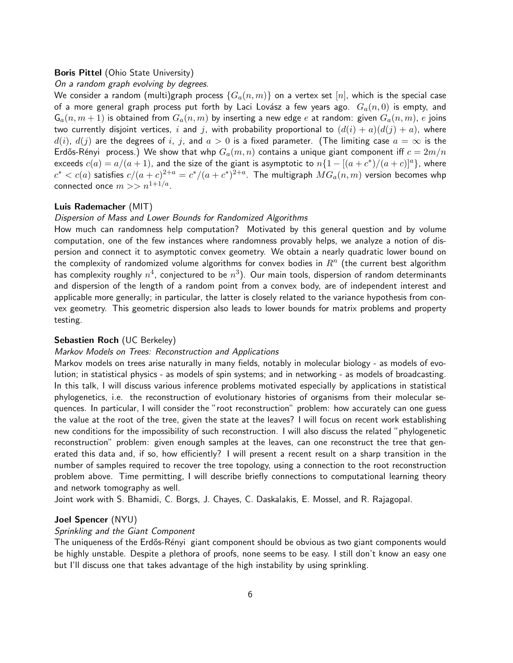### **Boris Pittel** (Ohio State University)

### On a random graph evolving by degrees.

We consider a random (multi)graph process  $\{G_a(n,m)\}$  on a vertex set  $[n]$ , which is the special case of a more general graph process put forth by Laci Lovász a few years ago.  $G_a(n, 0)$  is empty, and  $\mathsf{G}_a(n,m+1)$  is obtained from  $G_a(n,m)$  by inserting a new edge  $e$  at random: given  $G_a(n,m)$ ,  $e$  joins two currently disjoint vertices,  $i$  and  $j$ , with probability proportional to  $(d(i) + a)(d(j) + a)$ , where  $d(i)$ ,  $d(j)$  are the degrees of i, j, and  $a > 0$  is a fixed parameter. (The limiting case  $a = \infty$  is the Erdős-Rényi process.) We show that whp  $G_a(m, n)$  contains a unique giant component iff  $c = 2m/n$ exceeds  $c(a) = a/(a+1)$ , and the size of the giant is asymptotic to  $n\{1 - [(a+c^*)/(a+c)]^a\}$ , where  $c^* < c(a)$  satisfies  $c/(a+c)^{2+a} = c^*/(a+c^*)^{2+a}.$  The multigraph  $MG_a(n,m)$  version becomes whp connected once  $m>>n^{1+1/a}$ .

## Luis Rademacher (MIT)

#### Dispersion of Mass and Lower Bounds for Randomized Algorithms

How much can randomness help computation? Motivated by this general question and by volume computation, one of the few instances where randomness provably helps, we analyze a notion of dispersion and connect it to asymptotic convex geometry. We obtain a nearly quadratic lower bound on the complexity of randomized volume algorithms for convex bodies in  $R^n$  (the current best algorithm has complexity roughly  $n^4$ , conjectured to be  $n^3)$ . Our main tools, dispersion of random determinants and dispersion of the length of a random point from a convex body, are of independent interest and applicable more generally; in particular, the latter is closely related to the variance hypothesis from convex geometry. This geometric dispersion also leads to lower bounds for matrix problems and property testing.

## Sebastien Roch (UC Berkeley)

#### Markov Models on Trees: Reconstruction and Applications

Markov models on trees arise naturally in many fields, notably in molecular biology - as models of evolution; in statistical physics - as models of spin systems; and in networking - as models of broadcasting. In this talk, I will discuss various inference problems motivated especially by applications in statistical phylogenetics, i.e. the reconstruction of evolutionary histories of organisms from their molecular sequences. In particular, I will consider the "root reconstruction" problem: how accurately can one guess the value at the root of the tree, given the state at the leaves? I will focus on recent work establishing new conditions for the impossibility of such reconstruction. I will also discuss the related "phylogenetic reconstruction" problem: given enough samples at the leaves, can one reconstruct the tree that generated this data and, if so, how efficiently? I will present a recent result on a sharp transition in the number of samples required to recover the tree topology, using a connection to the root reconstruction problem above. Time permitting, I will describe briefly connections to computational learning theory and network tomography as well.

Joint work with S. Bhamidi, C. Borgs, J. Chayes, C. Daskalakis, E. Mossel, and R. Rajagopal.

## Joel Spencer (NYU)

## Sprinkling and the Giant Component

The uniqueness of the Erdős-Rényi giant component should be obvious as two giant components would be highly unstable. Despite a plethora of proofs, none seems to be easy. I still don't know an easy one but I'll discuss one that takes advantage of the high instability by using sprinkling.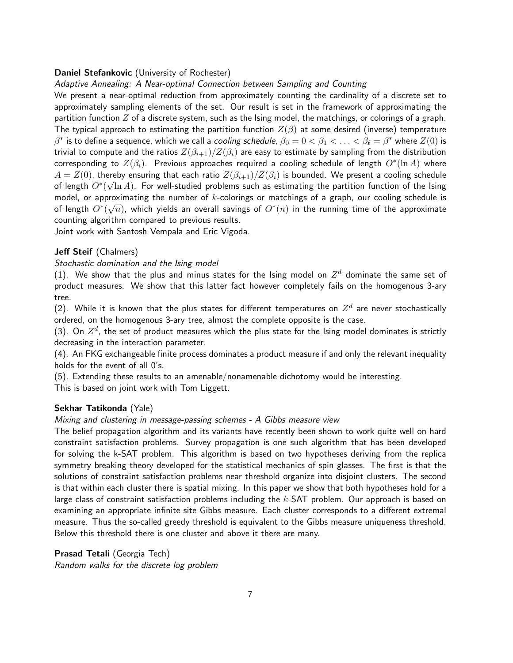## Daniel Stefankovic (University of Rochester)

## Adaptive Annealing: A Near-optimal Connection between Sampling and Counting

We present a near-optimal reduction from approximately counting the cardinality of a discrete set to approximately sampling elements of the set. Our result is set in the framework of approximating the partition function  $Z$  of a discrete system, such as the Ising model, the matchings, or colorings of a graph. The typical approach to estimating the partition function  $Z(\beta)$  at some desired (inverse) temperature  $\beta^*$  is to define a sequence, which we call a *cooling schedule,*  $\beta_0=0<\beta_1<\ldots<\beta_\ell=\beta^*$  where  $Z(0)$  is trivial to compute and the ratios  $Z(\beta_{i+1})/Z(\beta_i)$  are easy to estimate by sampling from the distribution corresponding to  $Z(\beta_i)$ . Previous approaches required a cooling schedule of length  $O^*(\ln A)$  where  $A = Z(0)$ , thereby ensuring that each ratio  $Z(\beta_{i+1})/Z(\beta_i)$  is bounded. We present a cooling schedule of length  $O^*(\sqrt{\ln A})$ . For well-studied problems such as estimating the partition function of the Ising model, or approximating the number of k-colorings or matchings of a graph, our cooling schedule is of length  $O^*(\sqrt{n})$ , which yields an overall savings of  $O^*(n)$  in the running time of the approximate counting algorithm compared to previous results.

Joint work with Santosh Vempala and Eric Vigoda.

### Jeff Steif (Chalmers)

## Stochastic domination and the Ising model

(1). We show that the plus and minus states for the Ising model on  $Z^d$  dominate the same set of product measures. We show that this latter fact however completely fails on the homogenous 3-ary tree.

(2). While it is known that the plus states for different temperatures on  $Z^d$  are never stochastically ordered, on the homogenous 3-ary tree, almost the complete opposite is the case.

(3). On  $Z^d$ , the set of product measures which the plus state for the Ising model dominates is strictly decreasing in the interaction parameter.

(4). An FKG exchangeable finite process dominates a product measure if and only the relevant inequality holds for the event of all 0's.

(5). Extending these results to an amenable/nonamenable dichotomy would be interesting.

This is based on joint work with Tom Liggett.

## Sekhar Tatikonda (Yale)

### Mixing and clustering in message-passing schemes - A Gibbs measure view

The belief propagation algorithm and its variants have recently been shown to work quite well on hard constraint satisfaction problems. Survey propagation is one such algorithm that has been developed for solving the k-SAT problem. This algorithm is based on two hypotheses deriving from the replica symmetry breaking theory developed for the statistical mechanics of spin glasses. The first is that the solutions of constraint satisfaction problems near threshold organize into disjoint clusters. The second is that within each cluster there is spatial mixing. In this paper we show that both hypotheses hold for a large class of constraint satisfaction problems including the  $k$ -SAT problem. Our approach is based on examining an appropriate infinite site Gibbs measure. Each cluster corresponds to a different extremal measure. Thus the so-called greedy threshold is equivalent to the Gibbs measure uniqueness threshold. Below this threshold there is one cluster and above it there are many.

Prasad Tetali (Georgia Tech) Random walks for the discrete log problem